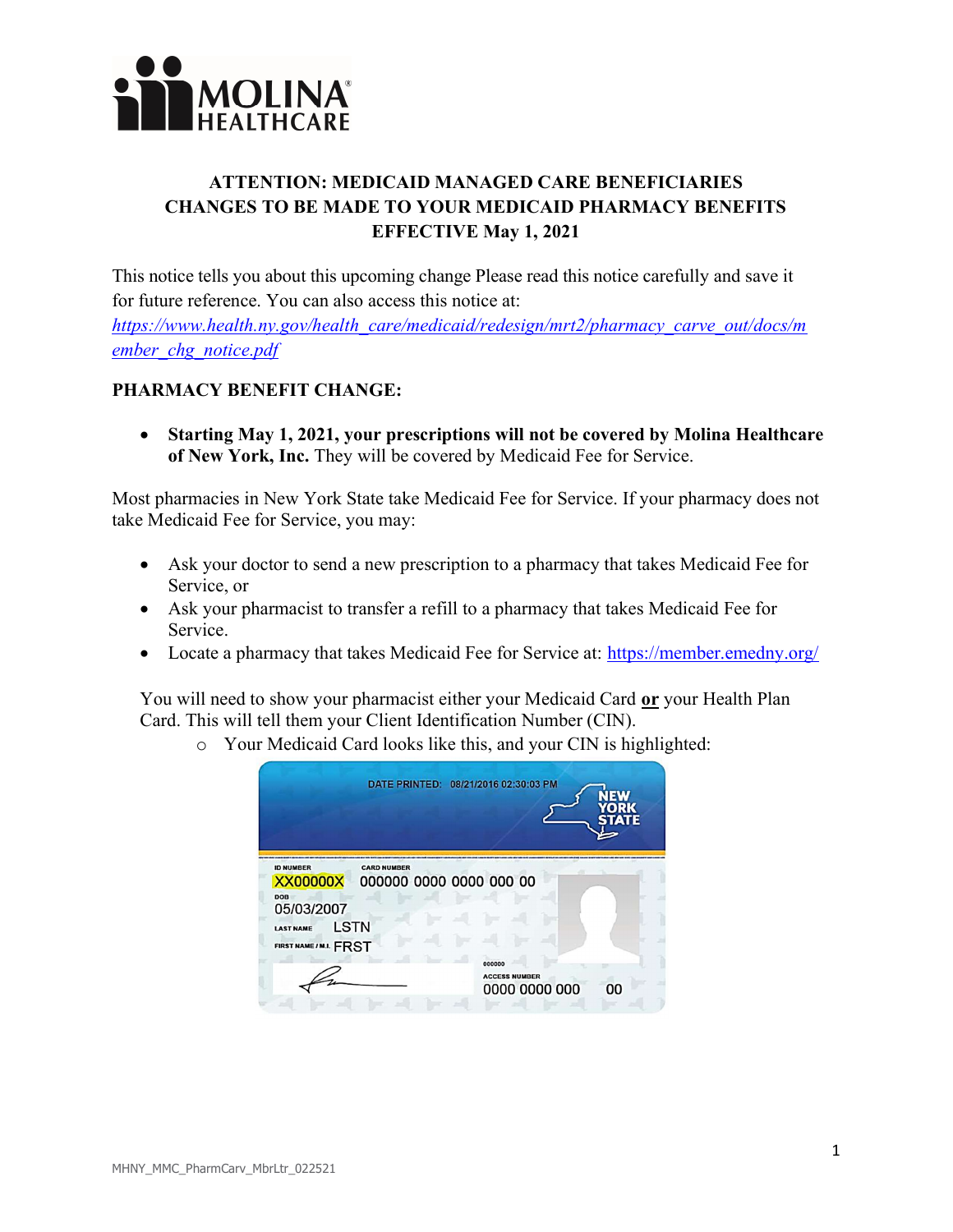

## ATTENTION: MEDICAID MANAGED CARE BENEFICIARIES CHANGES TO BE MADE TO YOUR MEDICAID PHARMACY BENEFITS EFFECTIVE May 1, 2021

This notice tells you about this upcoming change Please read this notice carefully and save it for future reference. You can also access this notice at:

https://www.health.ny.gov/health\_care/medicaid/redesign/mrt2/pharmacy\_carve\_out/docs/m ember chg notice.pdf

## PHARMACY BENEFIT CHANGE:

 Starting May 1, 2021, your prescriptions will not be covered by Molina Healthcare of New York, Inc. They will be covered by Medicaid Fee for Service.

Most pharmacies in New York State take Medicaid Fee for Service. If your pharmacy does not take Medicaid Fee for Service, you may:

- Ask your doctor to send a new prescription to a pharmacy that takes Medicaid Fee for Service, or
- Ask your pharmacist to transfer a refill to a pharmacy that takes Medicaid Fee for Service.
- Locate a pharmacy that takes Medicaid Fee for Service at: https://member.emedny.org/

You will need to show your pharmacist either your Medicaid Card or your Health Plan Card. This will tell them your Client Identification Number (CIN).

o Your Medicaid Card looks like this, and your CIN is highlighted:

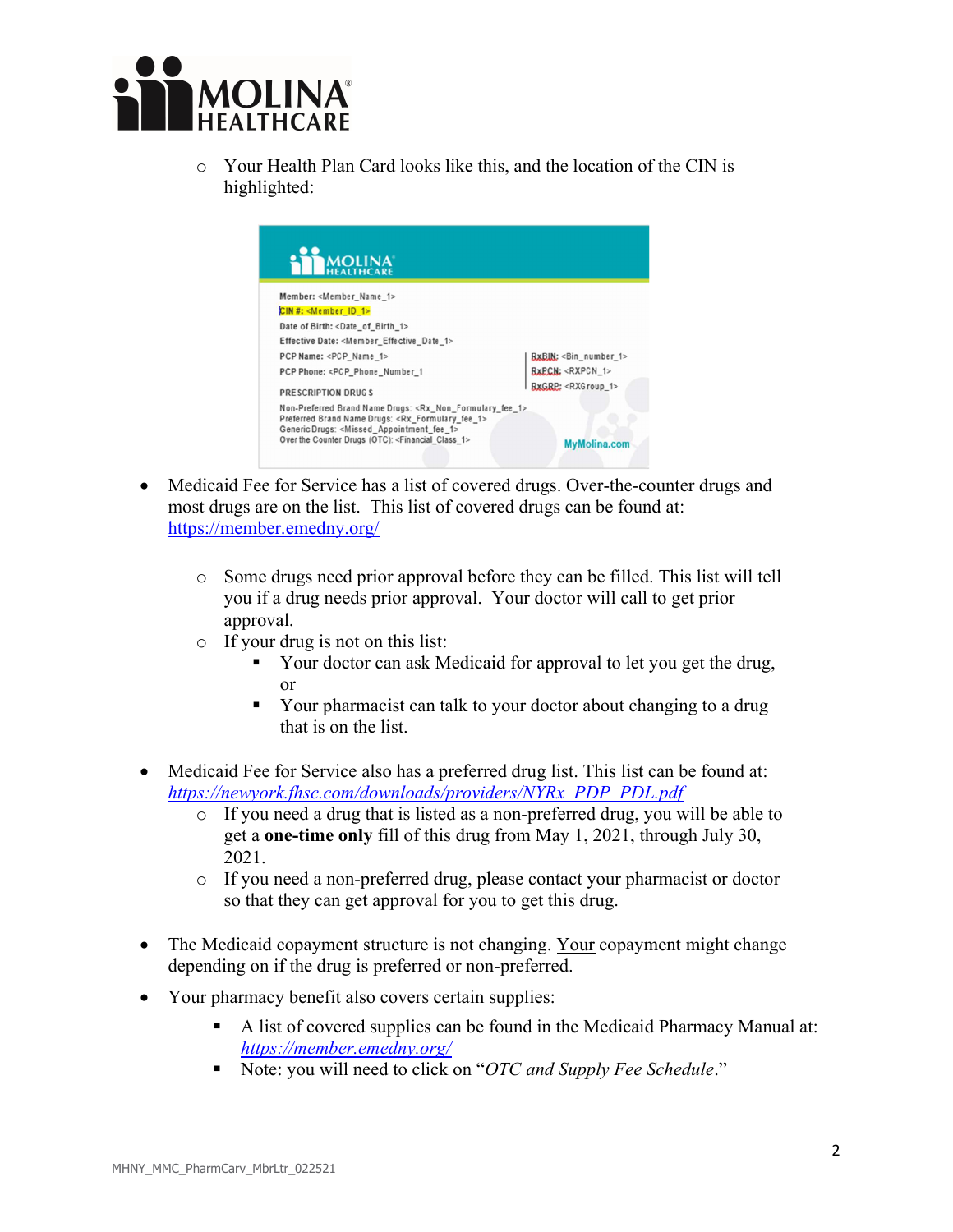

o Your Health Plan Card looks like this, and the location of the CIN is highlighted:



- Medicaid Fee for Service has a list of covered drugs. Over-the-counter drugs and most drugs are on the list. This list of covered drugs can be found at: https://member.emedny.org/
	- o Some drugs need prior approval before they can be filled. This list will tell you if a drug needs prior approval. Your doctor will call to get prior approval.
	- o If your drug is not on this list:
		- Your doctor can ask Medicaid for approval to let you get the drug, or
		- Your pharmacist can talk to your doctor about changing to a drug that is on the list.
- Medicaid Fee for Service also has a preferred drug list. This list can be found at: https://newyork.fhsc.com/downloads/providers/NYRx\_PDP\_PDL.pdf
	- $\circ$  If you need a drug that is listed as a non-preferred drug, you will be able to get a one-time only fill of this drug from May 1, 2021, through July 30, 2021.
	- o If you need a non-preferred drug, please contact your pharmacist or doctor so that they can get approval for you to get this drug.
- The Medicaid copayment structure is not changing. Your copayment might change depending on if the drug is preferred or non-preferred.
- Your pharmacy benefit also covers certain supplies:
	- A list of covered supplies can be found in the Medicaid Pharmacy Manual at: https://member.emedny.org/
	- Note: you will need to click on "OTC and Supply Fee Schedule."